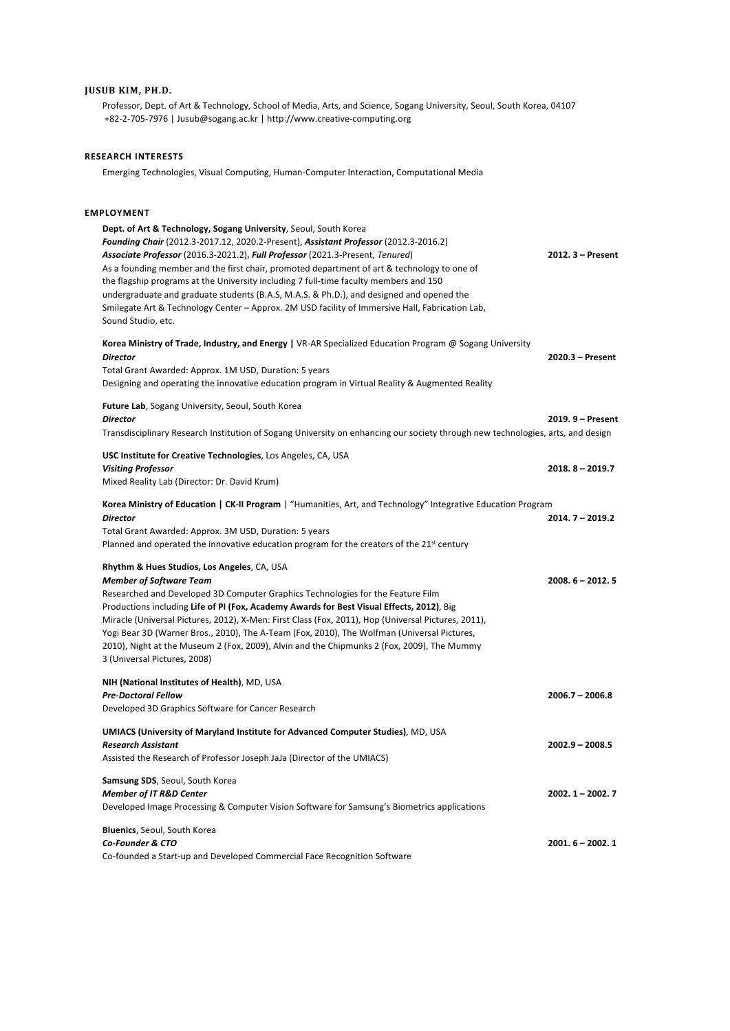# **JUSUB KIM, PH.D.**

Professor, Dept. of Art & Technology, School of Media, Arts, and Science, Sogang University, Seoul, South Korea, 04107 +82-2-705-7976 | Jusub@sogang.ac.kr | http://www.creative-computing.org

# **RESEARCH INTERESTS**

Emerging Technologies, Visual Computing, Human-Computer Interaction, Computational Media

#### **EMPLOYMENT**

| Dept. of Art & Technology, Sogang University, Seoul, South Korea<br>Founding Chair (2012.3-2017.12, 2020.2-Present), Assistant Professor (2012.3-2016.2)<br>Associate Professor (2016.3-2021.2), Full Professor (2021.3-Present, Tenured)<br>As a founding member and the first chair, promoted department of art & technology to one of<br>the flagship programs at the University including 7 full-time faculty members and 150<br>undergraduate and graduate students (B.A.S, M.A.S. & Ph.D.), and designed and opened the<br>Smilegate Art & Technology Center - Approx. 2M USD facility of Immersive Hall, Fabrication Lab,<br>Sound Studio, etc. | $2012.3 - Present$ |
|--------------------------------------------------------------------------------------------------------------------------------------------------------------------------------------------------------------------------------------------------------------------------------------------------------------------------------------------------------------------------------------------------------------------------------------------------------------------------------------------------------------------------------------------------------------------------------------------------------------------------------------------------------|--------------------|
| Korea Ministry of Trade, Industry, and Energy   VR-AR Specialized Education Program @ Sogang University<br><b>Director</b><br>Total Grant Awarded: Approx. 1M USD, Duration: 5 years<br>Designing and operating the innovative education program in Virtual Reality & Augmented Reality                                                                                                                                                                                                                                                                                                                                                                | 2020.3 - Present   |
| Future Lab, Sogang University, Seoul, South Korea<br><b>Director</b><br>Transdisciplinary Research Institution of Sogang University on enhancing our society through new technologies, arts, and design                                                                                                                                                                                                                                                                                                                                                                                                                                                | 2019. 9 - Present  |
| USC Institute for Creative Technologies, Los Angeles, CA, USA<br><b>Visiting Professor</b><br>Mixed Reality Lab (Director: Dr. David Krum)                                                                                                                                                                                                                                                                                                                                                                                                                                                                                                             | $2018.8 - 2019.7$  |
| Korea Ministry of Education   CK-II Program   "Humanities, Art, and Technology" Integrative Education Program<br><b>Director</b><br>Total Grant Awarded: Approx. 3M USD, Duration: 5 years<br>Planned and operated the innovative education program for the creators of the $21^{st}$ century                                                                                                                                                                                                                                                                                                                                                          | $2014.7 - 2019.2$  |
| Rhythm & Hues Studios, Los Angeles, CA, USA<br><b>Member of Software Team</b><br>Researched and Developed 3D Computer Graphics Technologies for the Feature Film<br>Productions including Life of PI (Fox, Academy Awards for Best Visual Effects, 2012), Big<br>Miracle (Universal Pictures, 2012), X-Men: First Class (Fox, 2011), Hop (Universal Pictures, 2011),<br>Yogi Bear 3D (Warner Bros., 2010), The A-Team (Fox, 2010), The Wolfman (Universal Pictures,<br>2010), Night at the Museum 2 (Fox, 2009), Alvin and the Chipmunks 2 (Fox, 2009), The Mummy<br>3 (Universal Pictures, 2008)                                                      | $2008.6 - 2012.5$  |
| NIH (National Institutes of Health), MD, USA<br><b>Pre-Doctoral Fellow</b><br>Developed 3D Graphics Software for Cancer Research                                                                                                                                                                                                                                                                                                                                                                                                                                                                                                                       | $2006.7 - 2006.8$  |
| UMIACS (University of Maryland Institute for Advanced Computer Studies), MD, USA<br><b>Research Assistant</b><br>Assisted the Research of Professor Joseph JaJa (Director of the UMIACS)                                                                                                                                                                                                                                                                                                                                                                                                                                                               | $2002.9 - 2008.5$  |
| Samsung SDS, Seoul, South Korea<br><b>Member of IT R&amp;D Center</b><br>Developed Image Processing & Computer Vision Software for Samsung's Biometrics applications                                                                                                                                                                                                                                                                                                                                                                                                                                                                                   | $2002.1 - 2002.7$  |
| Bluenics, Seoul, South Korea<br>Co-Founder & CTO<br>Co-founded a Start-up and Developed Commercial Face Recognition Software                                                                                                                                                                                                                                                                                                                                                                                                                                                                                                                           | $2001.6 - 2002.1$  |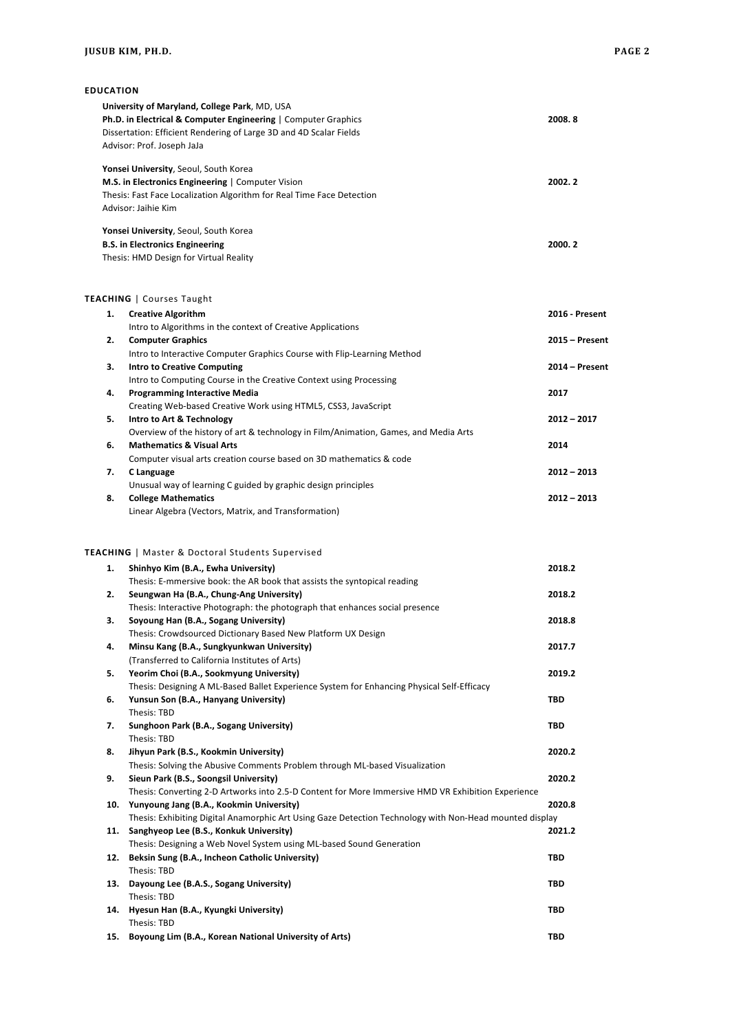**EDUCATION**

|    | University of Maryland, College Park, MD, USA<br>Ph.D. in Electrical & Computer Engineering   Computer Graphics<br>Dissertation: Efficient Rendering of Large 3D and 4D Scalar Fields<br>Advisor: Prof. Joseph JaJa | 2008.8         |
|----|---------------------------------------------------------------------------------------------------------------------------------------------------------------------------------------------------------------------|----------------|
|    | Yonsei University, Seoul, South Korea<br>M.S. in Electronics Engineering   Computer Vision<br>Thesis: Fast Face Localization Algorithm for Real Time Face Detection<br>Advisor: Jaihie Kim                          | 2002.2         |
|    | Yonsei University, Seoul, South Korea<br><b>B.S. in Electronics Engineering</b><br>Thesis: HMD Design for Virtual Reality                                                                                           | 2000.2         |
|    | <b>TEACHING</b>   Courses Taught                                                                                                                                                                                    |                |
| 1. | <b>Creative Algorithm</b>                                                                                                                                                                                           | 2016 - Present |
|    | Intro to Algorithms in the context of Creative Applications                                                                                                                                                         |                |
| 2. | <b>Computer Graphics</b>                                                                                                                                                                                            | 2015 - Present |
| 3. | Intro to Interactive Computer Graphics Course with Flip-Learning Method<br><b>Intro to Creative Computing</b>                                                                                                       | 2014 - Present |
|    | Intro to Computing Course in the Creative Context using Processing                                                                                                                                                  |                |
| 4. | <b>Programming Interactive Media</b>                                                                                                                                                                                | 2017           |
| 5. | Creating Web-based Creative Work using HTML5, CSS3, JavaScript<br>Intro to Art & Technology                                                                                                                         | 2012 - 2017    |
|    | Overview of the history of art & technology in Film/Animation, Games, and Media Arts                                                                                                                                |                |
| 6. | <b>Mathematics &amp; Visual Arts</b>                                                                                                                                                                                | 2014           |
|    | Computer visual arts creation course based on 3D mathematics & code                                                                                                                                                 |                |
| 7. | C Language<br>Unusual way of learning C guided by graphic design principles                                                                                                                                         | 2012 - 2013    |
| 8. | <b>College Mathematics</b>                                                                                                                                                                                          | $2012 - 2013$  |
|    | Linear Algebra (Vectors, Matrix, and Transformation)                                                                                                                                                                |                |
|    | <b>TEACHING</b>   Master & Doctoral Students Supervised                                                                                                                                                             |                |
| 1. | Shinhyo Kim (B.A., Ewha University)<br>Thesis: E-mmersive book: the AR book that assists the syntopical reading                                                                                                     | 2018.2         |
| 2. | Seungwan Ha (B.A., Chung-Ang University)                                                                                                                                                                            | 2018.2         |
|    | Thesis: Interactive Photograph: the photograph that enhances social presence                                                                                                                                        |                |
| З. | Soyoung Han (B.A., Sogang University)                                                                                                                                                                               | 2018.8         |
| 4. | Thesis: Crowdsourced Dictionary Based New Platform UX Design<br>Minsu Kang (B.A., Sungkyunkwan University)                                                                                                          | 2017.7         |
|    | (Transferred to California Institutes of Arts)                                                                                                                                                                      |                |
| 5. | Yeorim Choi (B.A., Sookmyung University)                                                                                                                                                                            | 2019.2         |
|    | Thesis: Designing A ML-Based Ballet Experience System for Enhancing Physical Self-Efficacy                                                                                                                          |                |
| 6. | Yunsun Son (B.A., Hanyang University)<br>Thesis: TBD                                                                                                                                                                | TBD            |
| 7. | Sunghoon Park (B.A., Sogang University)                                                                                                                                                                             | <b>TBD</b>     |
|    | Thesis: TBD                                                                                                                                                                                                         |                |
| 8. | Jihyun Park (B.S., Kookmin University)                                                                                                                                                                              | 2020.2         |
| 9. | Thesis: Solving the Abusive Comments Problem through ML-based Visualization<br>Sieun Park (B.S., Soongsil University)                                                                                               | 2020.2         |
|    | Thesis: Converting 2-D Artworks into 2.5-D Content for More Immersive HMD VR Exhibition Experience                                                                                                                  |                |
|    | 10. Yunyoung Jang (B.A., Kookmin University)                                                                                                                                                                        | 2020.8         |
|    | Thesis: Exhibiting Digital Anamorphic Art Using Gaze Detection Technology with Non-Head mounted display                                                                                                             |                |
|    | 11. Sanghyeop Lee (B.S., Konkuk University)<br>Thesis: Designing a Web Novel System using ML-based Sound Generation                                                                                                 | 2021.2         |
|    | 12. Beksin Sung (B.A., Incheon Catholic University)                                                                                                                                                                 | <b>TBD</b>     |
|    | Thesis: TBD                                                                                                                                                                                                         |                |
|    | 13. Dayoung Lee (B.A.S., Sogang University)                                                                                                                                                                         | TBD            |
|    | Thesis: TBD<br>14. Hyesun Han (B.A., Kyungki University)                                                                                                                                                            | TBD            |
|    | Thesis: TBD                                                                                                                                                                                                         |                |
|    | 15. Boyoung Lim (B.A., Korean National University of Arts)                                                                                                                                                          | <b>TBD</b>     |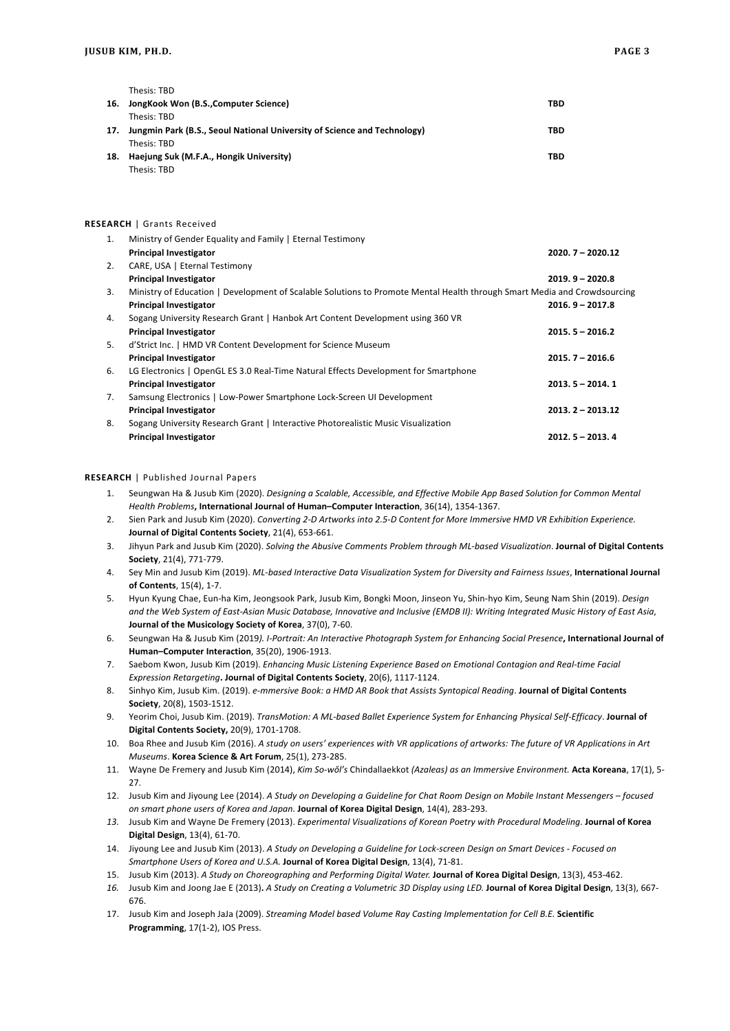|     | Thesis: TBD                                                              |     |
|-----|--------------------------------------------------------------------------|-----|
| 16. | JongKook Won (B.S., Computer Science)                                    | TBD |
|     | Thesis: TRD                                                              |     |
| 17. | Jungmin Park (B.S., Seoul National University of Science and Technology) | TBD |
|     | Thesis: TRD                                                              |     |
| 18. | Haejung Suk (M.F.A., Hongik University)                                  | TBD |
|     | Thesis: TBD                                                              |     |

### **RESEARCH** | Grants Received

| 1. | Ministry of Gender Equality and Family   Eternal Testimony                                                               |                    |
|----|--------------------------------------------------------------------------------------------------------------------------|--------------------|
|    | <b>Principal Investigator</b>                                                                                            | $2020.7 - 2020.12$ |
| 2. | CARE, USA   Eternal Testimony                                                                                            |                    |
|    | <b>Principal Investigator</b>                                                                                            | $2019.9 - 2020.8$  |
| 3. | Ministry of Education   Development of Scalable Solutions to Promote Mental Health through Smart Media and Crowdsourcing |                    |
|    | <b>Principal Investigator</b>                                                                                            | $2016.9 - 2017.8$  |
| 4. | Sogang University Research Grant   Hanbok Art Content Development using 360 VR                                           |                    |
|    | <b>Principal Investigator</b>                                                                                            | $2015.5 - 2016.2$  |
| 5. | d'Strict Inc.   HMD VR Content Development for Science Museum                                                            |                    |
|    | <b>Principal Investigator</b>                                                                                            | $2015.7 - 2016.6$  |
| 6. | LG Electronics   OpenGL ES 3.0 Real-Time Natural Effects Development for Smartphone                                      |                    |
|    | <b>Principal Investigator</b>                                                                                            | $2013.5 - 2014.1$  |
| 7. | Samsung Electronics   Low-Power Smartphone Lock-Screen UI Development                                                    |                    |
|    | <b>Principal Investigator</b>                                                                                            | $2013.2 - 2013.12$ |
| 8. | Sogang University Research Grant   Interactive Photorealistic Music Visualization                                        |                    |
|    | <b>Principal Investigator</b>                                                                                            | $2012.5 - 2013.4$  |

### **RESEARCH** | Published Journal Papers

- 1. Seungwan Ha & Jusub Kim (2020). *Designing a Scalable, Accessible, and Effective Mobile App Based Solution for Common Mental Health Problems***, International Journal of Human–Computer Interaction**, 36(14), 1354-1367.
- 2. Sien Park and Jusub Kim (2020). *Converting 2-D Artworks into 2.5-D Content for More Immersive HMD VR Exhibition Experience.*  **Journal of Digital Contents Society**, 21(4), 653-661.
- 3. Jihyun Park and Jusub Kim (2020). *Solving the Abusive Comments Problem through ML-based Visualization*. **Journal of Digital Contents Society**, 21(4), 771-779.
- 4. Sey Min and Jusub Kim (2019). *ML-based Interactive Data Visualization System for Diversity and Fairness Issues*, **International Journal of Contents**, 15(4), 1-7.
- 5. Hyun Kyung Chae, Eun-ha Kim, Jeongsook Park, Jusub Kim, Bongki Moon, Jinseon Yu, Shin-hyo Kim, Seung Nam Shin (2019). *Design and the Web System of East-Asian Music Database, Innovative and Inclusive (EMDB II): Writing Integrated Music History of East Asia*, **Journal of the Musicology Society of Korea**, 37(0), 7-60.
- 6. Seungwan Ha & Jusub Kim (2019*). I-Portrait: An Interactive Photograph System for Enhancing Social Presence***, International Journal of Human–Computer Interaction**, 35(20), 1906-1913.
- 7. Saebom Kwon, Jusub Kim (2019). *Enhancing Music Listening Experience Based on Emotional Contagion and Real-time Facial Expression Retargeting***. Journal of Digital Contents Society**, 20(6), 1117-1124.
- 8. Sinhyo Kim, Jusub Kim. (2019). *e-mmersive Book: a HMD AR Book that Assists Syntopical Reading*. **Journal of Digital Contents Society**, 20(8), 1503-1512.
- 9. Yeorim Choi, Jusub Kim. (2019). *TransMotion: A ML-based Ballet Experience System for Enhancing Physical Self-Efficacy*. **Journal of Digital Contents Society,** 20(9), 1701-1708.
- 10. Boa Rhee and Jusub Kim (2016). *A study on users' experiences with VR applications of artworks: The future of VR Applications in Art Museums*. **Korea Science & Art Forum**, 25(1), 273-285.
- 11. Wayne De Fremery and Jusub Kim (2014), *Kim So-wŏl's* Chindallaekkot *(Azaleas) as an Immersive Environment.* **Acta Koreana**, 17(1), 5- 27.
- 12. Jusub Kim and Jiyoung Lee (2014). *A Study on Developing a Guideline for Chat Room Design on Mobile Instant Messengers – focused on smart phone users of Korea and Japan.* **Journal of Korea Digital Design**, 14(4), 283-293.
- 13. Jusub Kim and Wayne De Fremery (2013). *Experimental Visualizations of Korean Poetry with Procedural Modeling*. Journal of Korea **Digital Design**, 13(4), 61-70.
- 14. Jiyoung Lee and Jusub Kim (2013). *A Study on Developing a Guideline for Lock-screen Design on Smart Devices - Focused on Smartphone Users of Korea and U.S.A.* **Journal of Korea Digital Design**, 13(4), 71-81.
- 15. Jusub Kim (2013). *A Study on Choreographing and Performing Digital Water.* **Journal of Korea Digital Design**, 13(3), 453-462.
- *16.* Jusub Kim and Joong Jae E (2013)**.** *A Study on Creating a Volumetric 3D Display using LED.* **Journal of Korea Digital Design**, 13(3), 667- 676.
- 17. Jusub Kim and Joseph JaJa (2009). *Streaming Model based Volume Ray Casting Implementation for Cell B.E.* **Scientific Programming**, 17(1-2), IOS Press.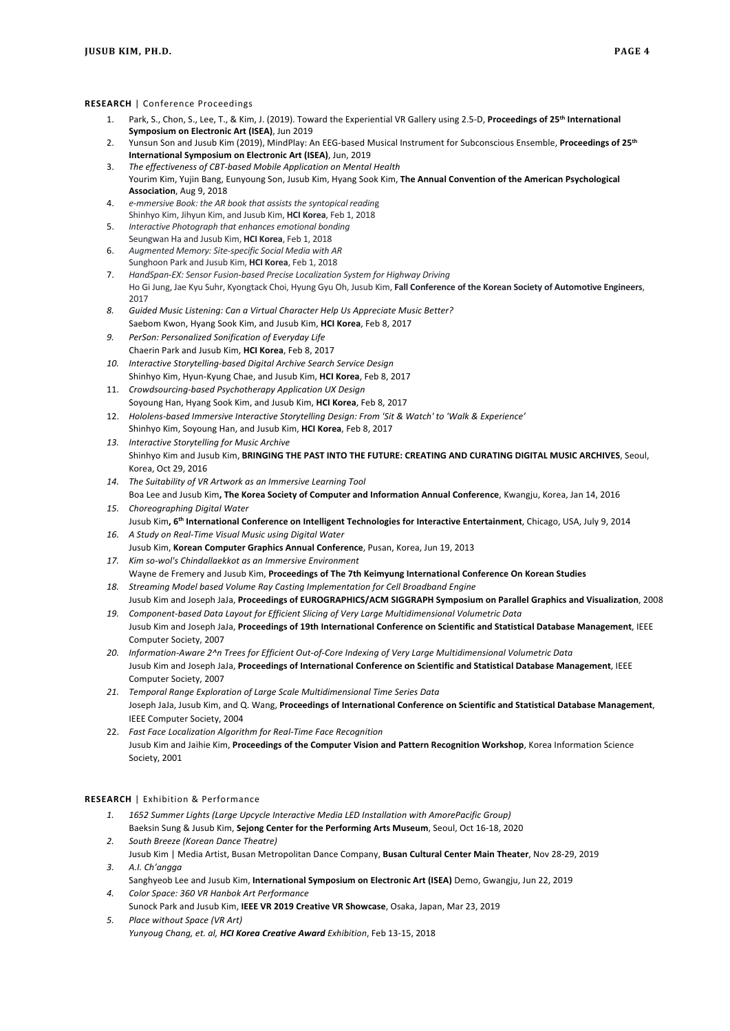#### **RESEARCH** | Conference Proceedings

- 1. Park, S., Chon, S., Lee, T., & Kim, J. (2019). Toward the Experiential VR Gallery using 2.5-D, **Proceedings of 25th International Symposium on Electronic Art (ISEA)**, Jun 2019
- 2. Yunsun Son and Jusub Kim (2019), MindPlay: An EEG-based Musical Instrument for Subconscious Ensemble, **Proceedings of 25th International Symposium on Electronic Art (ISEA)**, Jun, 2019
- 3. *The effectiveness of CBT-based Mobile Application on Mental Health* Yourim Kim, Yujin Bang, Eunyoung Son, Jusub Kim, Hyang Sook Kim, **The Annual Convention of the American Psychological Association**, Aug 9, 2018
- 4. *e-mmersive Book: the AR book that assists the syntopical readin*g Shinhyo Kim, Jihyun Kim, and Jusub Kim, **HCI Korea**, Feb 1, 2018
- 5. *Interactive Photograph that enhances emotional bonding* Seungwan Ha and Jusub Kim, **HCI Korea**, Feb 1, 2018
- 6. *Augmented Memory: Site-specific Social Media with AR*
- Sunghoon Park and Jusub Kim, **HCI Korea**, Feb 1, 2018 7. *HandSpan-EX: Sensor Fusion-based Precise Localization System for Highway Driving*
- Ho Gi Jung, Jae Kyu Suhr, Kyongtack Choi, Hyung Gyu Oh, Jusub Kim, **Fall Conference of the Korean Society of Automotive Engineers**, 2017
- *8. Guided Music Listening: Can a Virtual Character Help Us Appreciate Music Better?* Saebom Kwon, Hyang Sook Kim, and Jusub Kim, **HCI Korea**, Feb 8, 2017
- *9. PerSon: Personalized Sonification of Everyday Life* Chaerin Park and Jusub Kim, **HCI Korea**, Feb 8, 2017
- *10. Interactive Storytelling-based Digital Archive Search Service Design* Shinhyo Kim, Hyun-Kyung Chae, and Jusub Kim, **HCI Korea**, Feb 8, 2017
- 11. *Crowdsourcing-based Psychotherapy Application UX Design* Soyoung Han, Hyang Sook Kim, and Jusub Kim, **HCI Korea**, Feb 8, 2017
- 12. *Hololens-based Immersive Interactive Storytelling Design: From 'Sit & Watch' to 'Walk & Experience'* Shinhyo Kim, Soyoung Han, and Jusub Kim, **HCI Korea**, Feb 8, 2017
- *13. Interactive Storytelling for Music Archive* Shinhyo Kim and Jusub Kim, **BRINGING THE PAST INTO THE FUTURE: CREATING AND CURATING DIGITAL MUSIC ARCHIVES**, Seoul, Korea, Oct 29, 2016
- *14. The Suitability of VR Artwork as an Immersive Learning Tool*
- Boa Lee and Jusub Kim**, The Korea Society of Computer and Information Annual Conference**, Kwangju, Korea, Jan 14, 2016 *15. Choreographing Digital Water*
- Jusub Kim**, 6th International Conference on Intelligent Technologies for Interactive Entertainment**, Chicago, USA, July 9, 2014 *16. A Study on Real-Time Visual Music using Digital Water*
- Jusub Kim, **Korean Computer Graphics Annual Conference**, Pusan, Korea, Jun 19, 2013 *17. Kim so-wol's Chindallaekkot as an Immersive Environment*
- Wayne de Fremery and Jusub Kim, **Proceedings of The 7th Keimyung International Conference On Korean Studies** *18. Streaming Model based Volume Ray Casting Implementation for Cell Broadband Engine*
- Jusub Kim and Joseph JaJa, **Proceedings of EUROGRAPHICS/ACM SIGGRAPH Symposium on Parallel Graphics and Visualization**, 2008 *19. Component-based Data Layout for Efficient Slicing of Very Large Multidimensional Volumetric Data*
- Jusub Kim and Joseph JaJa, **Proceedings of 19th International Conference on Scientific and Statistical Database Management**, IEEE Computer Society, 2007
- *20. Information-Aware 2^n Trees for Efficient Out-of-Core Indexing of Very Large Multidimensional Volumetric Data* Jusub Kim and Joseph JaJa, **Proceedings of International Conference on Scientific and Statistical Database Management**, IEEE Computer Society, 2007
- *21. Temporal Range Exploration of Large Scale Multidimensional Time Series Data* Joseph JaJa, Jusub Kim, and Q. Wang, **Proceedings of International Conference on Scientific and Statistical Database Management**, IEEE Computer Society, 2004
- 22. *Fast Face Localization Algorithm for Real-Time Face Recognition* Jusub Kim and Jaihie Kim, **Proceedings of the Computer Vision and Pattern Recognition Workshop**, Korea Information Science Society, 2001

### **RESEARCH** | Exhibition & Performance

- *1. 1652 Summer Lights (Large Upcycle Interactive Media LED Installation with AmorePacific Group)* Baeksin Sung & Jusub Kim, **Sejong Center for the Performing Arts Museum**, Seoul, Oct 16-18, 2020
- *2. South Breeze (Korean Dance Theatre)* Jusub Kim | Media Artist, Busan Metropolitan Dance Company, **Busan Cultural Center Main Theater**, Nov 28-29, 2019 *3. A.I. Ch'angga*
- Sanghyeob Lee and Jusub Kim, **International Symposium on Electronic Art (ISEA)** Demo, Gwangju, Jun 22, 2019 *4. Color Space: 360 VR Hanbok Art Performance*
- Sunock Park and Jusub Kim, **IEEE VR 2019 Creative VR Showcase**, Osaka, Japan, Mar 23, 2019 *5. Place without Space (VR Art)*
- *Yunyoug Chang, et. al, HCI Korea Creative Award Exhibition*, Feb 13-15, 2018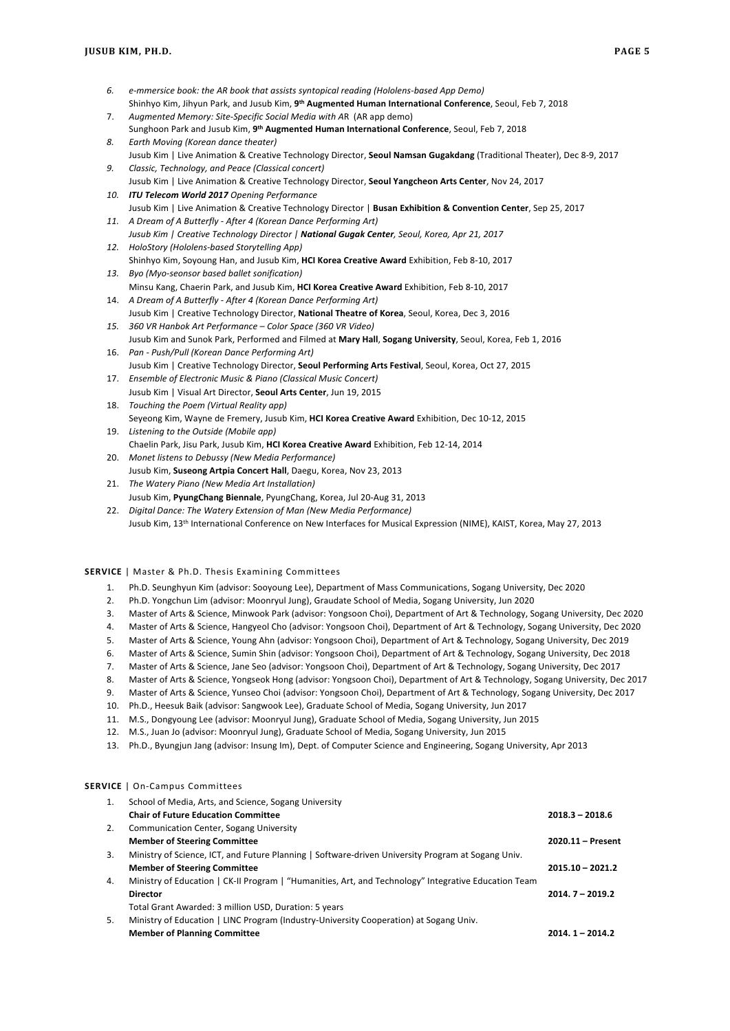- *6. e-mmersice book: the AR book that assists syntopical reading (Hololens-based App Demo)* Shinhyo Kim, Jihyun Park, and Jusub Kim, **9th Augmented Human International Conference**, Seoul, Feb 7, 2018 7. *Augmented Memory: Site-Specific Social Media with A*R (AR app demo)
- Sunghoon Park and Jusub Kim, **9th Augmented Human International Conference**, Seoul, Feb 7, 2018 *8. Earth Moving (Korean dance theater)*
- Jusub Kim | Live Animation & Creative Technology Director, **Seoul Namsan Gugakdang** (Traditional Theater), Dec 8-9, 2017 *9. Classic, Technology, and Peace (Classical concert)*
- Jusub Kim | Live Animation & Creative Technology Director, **Seoul Yangcheon Arts Center**, Nov 24, 2017 *10. ITU Telecom World 2017 Opening Performance*
- Jusub Kim | Live Animation & Creative Technology Director | **Busan Exhibition & Convention Center**, Sep 25, 2017 *11. A Dream of A Butterfly - After 4 (Korean Dance Performing Art)*
- *Jusub Kim | Creative Technology Director | National Gugak Center, Seoul, Korea, Apr 21, 2017 12. HoloStory (Hololens-based Storytelling App)*
- Shinhyo Kim, Soyoung Han, and Jusub Kim, **HCI Korea Creative Award** Exhibition, Feb 8-10, 2017 *13. Byo (Myo-seonsor based ballet sonification)*
- Minsu Kang, Chaerin Park, and Jusub Kim, **HCI Korea Creative Award** Exhibition, Feb 8-10, 2017 14. *A Dream of A Butterfly - After 4 (Korean Dance Performing Art)*
- Jusub Kim | Creative Technology Director, **National Theatre of Korea**, Seoul, Korea, Dec 3, 2016 *15. 360 VR Hanbok Art Performance – Color Space (360 VR Video)*
- Jusub Kim and Sunok Park, Performed and Filmed at **Mary Hall**, **Sogang University**, Seoul, Korea, Feb 1, 2016 16. *Pan - Push/Pull (Korean Dance Performing Art)*
- Jusub Kim | Creative Technology Director, **Seoul Performing Arts Festival**, Seoul, Korea, Oct 27, 2015 17. *Ensemble of Electronic Music & Piano (Classical Music Concert)*
- Jusub Kim | Visual Art Director, **Seoul Arts Center**, Jun 19, 2015 18. *Touching the Poem (Virtual Reality app)*
- Seyeong Kim, Wayne de Fremery, Jusub Kim, **HCI Korea Creative Award** Exhibition, Dec 10-12, 2015 19. *Listening to the Outside (Mobile app)*
- Chaelin Park, Jisu Park, Jusub Kim, **HCI Korea Creative Award** Exhibition, Feb 12-14, 2014 20. *Monet listens to Debussy (New Media Performance)*
- Jusub Kim, **Suseong Artpia Concert Hall**, Daegu, Korea, Nov 23, 2013
- 21. *The Watery Piano (New Media Art Installation)* Jusub Kim, **PyungChang Biennale**, PyungChang, Korea, Jul 20-Aug 31, 2013
- 22. *Digital Dance: The Watery Extension of Man (New Media Performance)* Jusub Kim, 13th International Conference on New Interfaces for Musical Expression (NIME), KAIST, Korea, May 27, 2013

### **SERVICE** | Master & Ph.D. Thesis Examining Committees

- 1. Ph.D. Seunghyun Kim (advisor: Sooyoung Lee), Department of Mass Communications, Sogang University, Dec 2020
- 2. Ph.D. Yongchun Lim (advisor: Moonryul Jung), Graudate School of Media, Sogang University, Jun 2020
- 3. Master of Arts & Science, Minwook Park (advisor: Yongsoon Choi), Department of Art & Technology, Sogang University, Dec 2020
- 4. Master of Arts & Science, Hangyeol Cho (advisor: Yongsoon Choi), Department of Art & Technology, Sogang University, Dec 2020
- 5. Master of Arts & Science, Young Ahn (advisor: Yongsoon Choi), Department of Art & Technology, Sogang University, Dec 2019
- 6. Master of Arts & Science, Sumin Shin (advisor: Yongsoon Choi), Department of Art & Technology, Sogang University, Dec 2018
- 7. Master of Arts & Science, Jane Seo (advisor: Yongsoon Choi), Department of Art & Technology, Sogang University, Dec 2017
- 8. Master of Arts & Science, Yongseok Hong (advisor: Yongsoon Choi), Department of Art & Technology, Sogang University, Dec 2017
- 9. Master of Arts & Science, Yunseo Choi (advisor: Yongsoon Choi), Department of Art & Technology, Sogang University, Dec 2017
- 10. Ph.D., Heesuk Baik (advisor: Sangwook Lee), Graduate School of Media, Sogang University, Jun 2017
- 11. M.S., Dongyoung Lee (advisor: Moonryul Jung), Graduate School of Media, Sogang University, Jun 2015
- 12. M.S., Juan Jo (advisor: Moonryul Jung), Graduate School of Media, Sogang University, Jun 2015
- 13. Ph.D., Byungjun Jang (advisor: Insung Im), Dept. of Computer Science and Engineering, Sogang University, Apr 2013

## **SERVICE** | On-Campus Committees

| 1. | School of Media, Arts, and Science, Sogang University                                                |                    |
|----|------------------------------------------------------------------------------------------------------|--------------------|
|    | <b>Chair of Future Education Committee</b>                                                           | $2018.3 - 2018.6$  |
| 2. | Communication Center, Sogang University                                                              |                    |
|    | <b>Member of Steering Committee</b>                                                                  | 2020.11 - Present  |
| 3. | Ministry of Science, ICT, and Future Planning   Software-driven University Program at Sogang Univ.   |                    |
|    | <b>Member of Steering Committee</b>                                                                  | $2015.10 - 2021.2$ |
| 4. | Ministry of Education   CK-II Program   "Humanities, Art, and Technology" Integrative Education Team |                    |
|    | <b>Director</b>                                                                                      | $2014.7 - 2019.2$  |
|    | Total Grant Awarded: 3 million USD, Duration: 5 years                                                |                    |
| 5. | Ministry of Education   LINC Program (Industry-University Cooperation) at Sogang Univ.               |                    |
|    | <b>Member of Planning Committee</b>                                                                  | $2014.1 - 2014.2$  |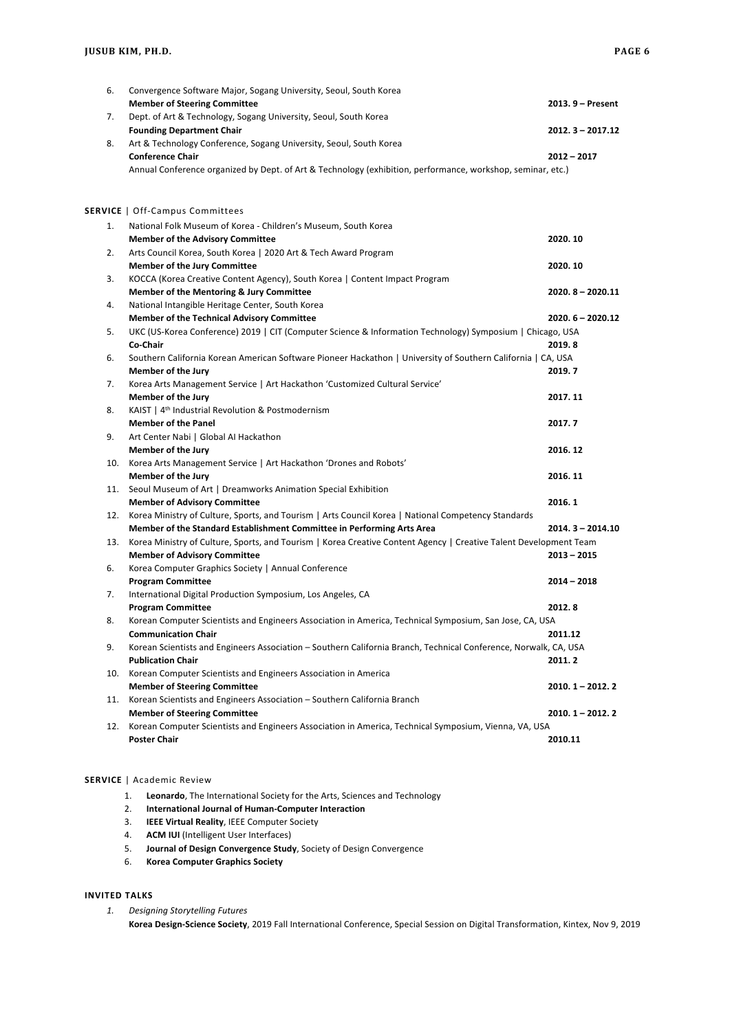| 6.  | Convergence Software Major, Sogang University, Seoul, South Korea<br><b>Member of Steering Committee</b>              | 2013. 9 - Present  |
|-----|-----------------------------------------------------------------------------------------------------------------------|--------------------|
| 7.  | Dept. of Art & Technology, Sogang University, Seoul, South Korea                                                      |                    |
|     | <b>Founding Department Chair</b>                                                                                      | $2012.3 - 2017.12$ |
| 8.  | Art & Technology Conference, Sogang University, Seoul, South Korea                                                    |                    |
|     | <b>Conference Chair</b>                                                                                               | 2012 - 2017        |
|     | Annual Conference organized by Dept. of Art & Technology (exhibition, performance, workshop, seminar, etc.)           |                    |
|     |                                                                                                                       |                    |
|     | <b>SERVICE</b>   Off-Campus Committees                                                                                |                    |
| 1.  | National Folk Museum of Korea - Children's Museum, South Korea                                                        |                    |
|     | <b>Member of the Advisory Committee</b>                                                                               | 2020.10            |
| 2.  | Arts Council Korea, South Korea   2020 Art & Tech Award Program                                                       |                    |
|     | <b>Member of the Jury Committee</b>                                                                                   | 2020.10            |
| 3.  | KOCCA (Korea Creative Content Agency), South Korea   Content Impact Program                                           |                    |
|     | Member of the Mentoring & Jury Committee                                                                              | $2020.8 - 2020.11$ |
| 4.  | National Intangible Heritage Center, South Korea                                                                      |                    |
|     | <b>Member of the Technical Advisory Committee</b>                                                                     | $2020.6 - 2020.12$ |
| 5.  | UKC (US-Korea Conference) 2019   CIT (Computer Science & Information Technology) Symposium   Chicago, USA             |                    |
|     | Co-Chair                                                                                                              | 2019.8             |
| 6.  | Southern California Korean American Software Pioneer Hackathon   University of Southern California   CA, USA          |                    |
|     | <b>Member of the Jury</b>                                                                                             | 2019.7             |
| 7.  | Korea Arts Management Service   Art Hackathon 'Customized Cultural Service'                                           |                    |
|     | <b>Member of the Jury</b>                                                                                             | 2017.11            |
| 8.  | KAIST   4 <sup>th</sup> Industrial Revolution & Postmodernism                                                         |                    |
|     | <b>Member of the Panel</b>                                                                                            | 2017.7             |
| 9.  | Art Center Nabi   Global AI Hackathon                                                                                 |                    |
|     | Member of the Jury                                                                                                    | 2016.12            |
|     | 10. Korea Arts Management Service   Art Hackathon 'Drones and Robots'                                                 |                    |
|     | <b>Member of the Jury</b>                                                                                             | 2016.11            |
|     | 11. Seoul Museum of Art   Dreamworks Animation Special Exhibition                                                     |                    |
|     | <b>Member of Advisory Committee</b>                                                                                   | 2016.1             |
|     | 12. Korea Ministry of Culture, Sports, and Tourism   Arts Council Korea   National Competency Standards               |                    |
|     | Member of the Standard Establishment Committee in Performing Arts Area                                                | 2014.3-2014.10     |
|     | 13. Korea Ministry of Culture, Sports, and Tourism   Korea Creative Content Agency   Creative Talent Development Team |                    |
|     | <b>Member of Advisory Committee</b>                                                                                   | 2013 - 2015        |
| 6.  | Korea Computer Graphics Society   Annual Conference                                                                   |                    |
|     | <b>Program Committee</b>                                                                                              | 2014 - 2018        |
| 7.  | International Digital Production Symposium, Los Angeles, CA                                                           |                    |
|     | <b>Program Committee</b>                                                                                              | 2012.8             |
| 8.  | Korean Computer Scientists and Engineers Association in America, Technical Symposium, San Jose, CA, USA               |                    |
|     | <b>Communication Chair</b>                                                                                            | 2011.12            |
| 9.  | Korean Scientists and Engineers Association - Southern California Branch, Technical Conference, Norwalk, CA, USA      |                    |
|     | <b>Publication Chair</b>                                                                                              | 2011.2             |
|     | 10. Korean Computer Scientists and Engineers Association in America<br><b>Member of Steering Committee</b>            |                    |
| 11. | Korean Scientists and Engineers Association - Southern California Branch                                              | 2010. 1 – 2012. 2  |
|     | <b>Member of Steering Committee</b>                                                                                   | 2010. 1 - 2012. 2  |
|     | 12. Korean Computer Scientists and Engineers Association in America, Technical Symposium, Vienna, VA, USA             |                    |
|     | <b>Poster Chair</b>                                                                                                   | 2010.11            |
|     |                                                                                                                       |                    |

## **SERVICE** | Academic Review

- 1. **Leonardo**, The International Society for the Arts, Sciences and Technology
- 2. **International Journal of Human-Computer Interaction**
- 3. **IEEE Virtual Reality**, IEEE Computer Society
- 4. **ACM IUI** (Intelligent User Interfaces)
- 5. **Journal of Design Convergence Study**, Society of Design Convergence
- 6. **Korea Computer Graphics Society**

# **INVITED TALKS**

*1. Designing Storytelling Futures* **Korea Design-Science Society**, 2019 Fall International Conference, Special Session on Digital Transformation, Kintex, Nov 9, 2019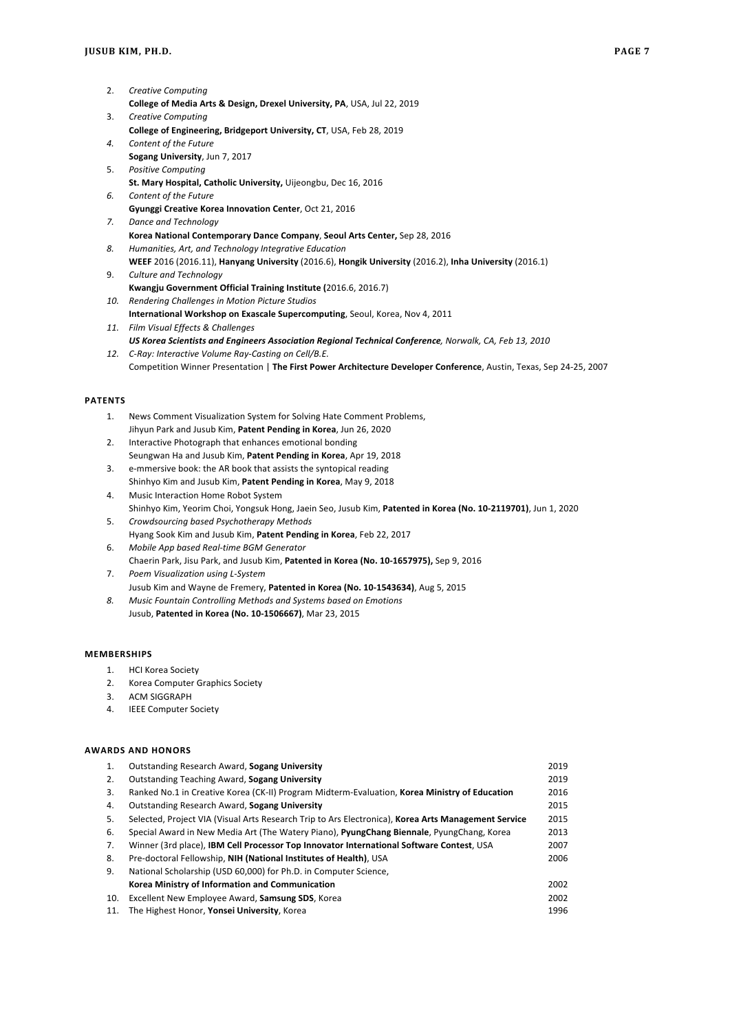- 2. *Creative Computing* **College of Media Arts & Design, Drexel University, PA**, USA, Jul 22, 2019 3. *Creative Computing*
- **College of Engineering, Bridgeport University, CT**, USA, Feb 28, 2019
- *4. Content of the Future* **Sogang University**, Jun 7, 2017
- 5. *Positive Computing*
- **St. Mary Hospital, Catholic University,** Uijeongbu, Dec 16, 2016
- *6. Content of the Future* **Gyunggi Creative Korea Innovation Center**, Oct 21, 2016
- *7. Dance and Technology* **Korea National Contemporary Dance Company**, **Seoul Arts Center,** Sep 28, 2016
- *8. Humanities, Art, and Technology Integrative Education*
- **WEEF** 2016 (2016.11), **Hanyang University** (2016.6), **Hongik University** (2016.2), **Inha University** (2016.1)
- 9. *Culture and Technology* **Kwangju Government Official Training Institute (**2016.6, 2016.7)
- *10. Rendering Challenges in Motion Picture Studios* **International Workshop on Exascale Supercomputing**, Seoul, Korea, Nov 4, 2011 *11. Film Visual Effects & Challenges*
- *US Korea Scientists and Engineers Association Regional Technical Conference, Norwalk, CA, Feb 13, 2010*
- *12. C-Ray: Interactive Volume Ray-Casting on Cell/B.E.* Competition Winner Presentation | **The First Power Architecture Developer Conference**, Austin, Texas, Sep 24-25, 2007

## **PATENTS**

- 1. News Comment Visualization System for Solving Hate Comment Problems, Jihyun Park and Jusub Kim, **Patent Pending in Korea**, Jun 26, 2020
- 2. Interactive Photograph that enhances emotional bonding Seungwan Ha and Jusub Kim, **Patent Pending in Korea**, Apr 19, 2018
- 3. e-mmersive book: the AR book that assists the syntopical reading Shinhyo Kim and Jusub Kim, **Patent Pending in Korea**, May 9, 2018 4. Music Interaction Home Robot System
- Shinhyo Kim, Yeorim Choi, Yongsuk Hong, Jaein Seo, Jusub Kim, **Patented in Korea (No. 10-2119701)**, Jun 1, 2020 5. *Crowdsourcing based Psychotherapy Methods*
- Hyang Sook Kim and Jusub Kim, **Patent Pending in Korea**, Feb 22, 2017 6. *Mobile App based Real-time BGM Generator*
- Chaerin Park, Jisu Park, and Jusub Kim, **Patented in Korea (No. 10-1657975),** Sep 9, 2016 7. *Poem Visualization using L-System*
- Jusub Kim and Wayne de Fremery, **Patented in Korea (No. 10-1543634)**, Aug 5, 2015
- *8. Music Fountain Controlling Methods and Systems based on Emotions* Jusub, **Patented in Korea (No. 10-1506667)**, Mar 23, 2015

## **MEMBERSHIPS**

- 1. HCI Korea Society
- 2. Korea Computer Graphics Society
- 3. ACM SIGGRAPH
- 4. IEEE Computer Society

## **AWARDS AND HONORS**

| 1.  | Outstanding Research Award, Sogang University                                                       | 2019 |
|-----|-----------------------------------------------------------------------------------------------------|------|
| 2.  | Outstanding Teaching Award, Sogang University                                                       | 2019 |
| 3.  | Ranked No.1 in Creative Korea (CK-II) Program Midterm-Evaluation, Korea Ministry of Education       | 2016 |
| 4.  | Outstanding Research Award, Sogang University                                                       | 2015 |
| 5.  | Selected, Project VIA (Visual Arts Research Trip to Ars Electronica), Korea Arts Management Service | 2015 |
| 6.  | Special Award in New Media Art (The Watery Piano), PyungChang Biennale, PyungChang, Korea           | 2013 |
| 7.  | Winner (3rd place), <b>IBM Cell Processor Top Innovator International Software Contest</b> , USA    | 2007 |
| 8.  | Pre-doctoral Fellowship, NIH (National Institutes of Health), USA                                   | 2006 |
| 9.  | National Scholarship (USD 60,000) for Ph.D. in Computer Science,                                    |      |
|     | Korea Ministry of Information and Communication                                                     | 2002 |
| 10. | Excellent New Employee Award, Samsung SDS, Korea                                                    | 2002 |
| 11. | The Highest Honor, Yonsei University, Korea                                                         | 1996 |